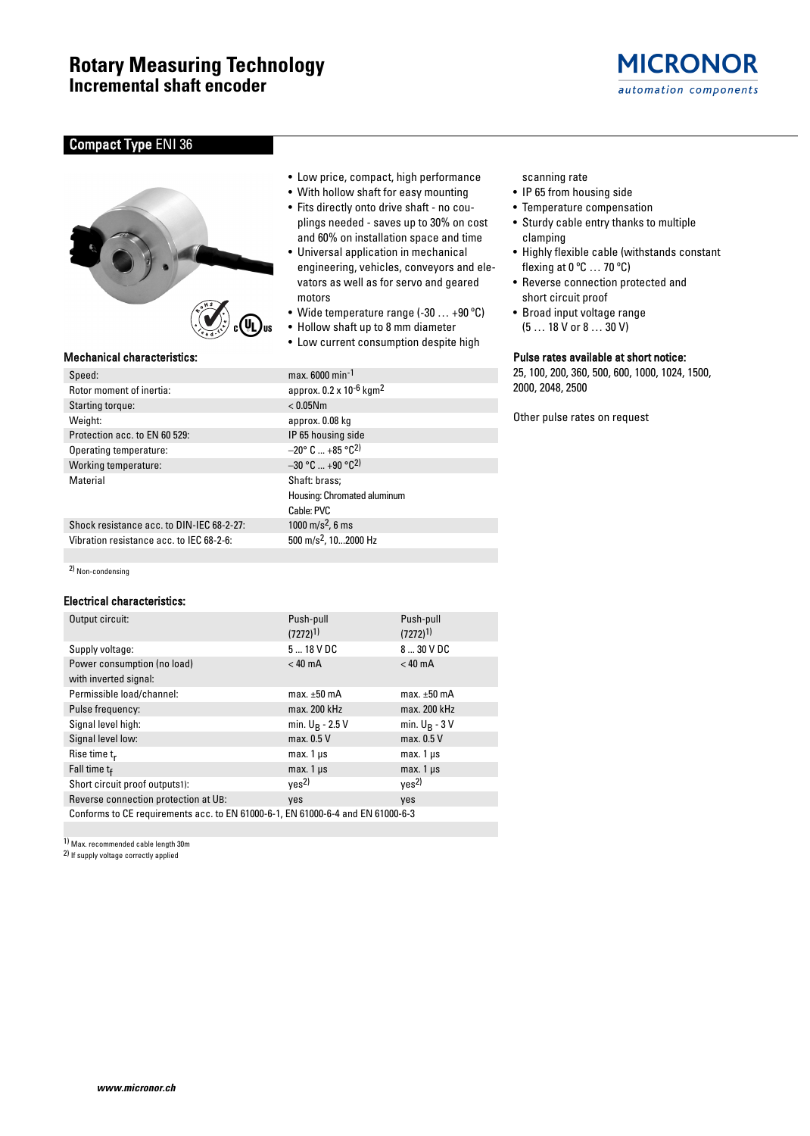## Compact Type ENI 36



| Speed:                        |
|-------------------------------|
| Rotor moment of inertia:      |
| Starting torque:              |
| Weight:                       |
| Protection acc. to EN 60 529: |
| Operating temperature:        |
| Working temperature:          |
| Material                      |
|                               |
|                               |

Shock resistance acc. to DIN-IEC 68-2-27: 1000 m/s<sup>2</sup>, 6 ms Vibration resistance acc. to IEC 68-2-6:  $500 \text{ m/s}^2$ , 10...2000 Hz

2) Non-condensing

## Electrical characteristics:

| Output circuit:                                                                 | Push-pull          | Push-pull         |  |
|---------------------------------------------------------------------------------|--------------------|-------------------|--|
|                                                                                 | $(7272)^{1}$       | $(7272)^{1}$      |  |
| Supply voltage:                                                                 | $518$ VDC          | 8  30 V DC        |  |
| Power consumption (no load)                                                     | $< 40$ mA          | $< 40 \text{ mA}$ |  |
| with inverted signal:                                                           |                    |                   |  |
| Permissible load/channel:                                                       | max. $\pm 50$ mA   | max. $\pm 50$ mA  |  |
| Pulse frequency:                                                                | max. 200 kHz       | max. 200 kHz      |  |
| Signal level high:                                                              | min. $U_R$ - 2.5 V | min. $U_R - 3V$   |  |
| Signal level low:                                                               | max. 0.5 V         | max. 0.5 V        |  |
| Rise time $t_r$                                                                 | $max.1 \,\mu s$    | $max.1 \mu s$     |  |
| Fall time tf                                                                    | $max.1 \,\mu s$    | $max.1 \mu s$     |  |
| Short circuit proof outputs1):                                                  | ves <sup>2</sup>   | ves <sup>2</sup>  |  |
| Reverse connection protection at UB:                                            | yes                | yes               |  |
| Conforms to CE requirements acc. to EN 61000-6-1, EN 61000-6-4 and EN 61000-6-3 |                    |                   |  |

1) Max. recommended cable length 30m

2) If supply voltage correctly applied

- Low price, compact, high performance
- With hollow shaft for easy mounting
- Fits directly onto drive shaft no couplings needed - saves up to 30% on cost and 60% on installation space and time
- Universal application in mechanical engineering, vehicles, conveyors and elevators as well as for servo and geared motors
- Wide temperature range (-30 … +90 ºC)
- Hollow shaft up to 8 mm diameter
- Low current consumption despite high

 $max. 6000 min<sup>-1</sup>$ approx.  $0.2 \times 10^{-6}$  kgm<sup>2</sup>  $< 0.05$ Nm approx. 0.08 kg IP 65 housing side  $-20$ ° C ... +85 °C<sup>2)</sup>  $-30 °C ... +90 °C^2$ Shaft: brass; Housing: Chromated aluminum Cable: PVC

## scanning rate

- IP 65 from housing side
- Temperature compensation
- Sturdy cable entry thanks to multiple clamping
- Highly flexible cable (withstands constant flexing at  $0^{\circ}$ C  $\ldots$  70  $^{\circ}$ C)

**MICRONOR** 

automation components

- Reverse connection protected and short circuit proof
- Broad input voltage range
- (5 … 18 V or 8 … 30 V)

## Mechanical characteristics: Pulse rates available at short notice:

25, 100, 200, 360, 500, 600, 1000, 1024, 1500, 2000, 2048, 2500

Other pulse rates on request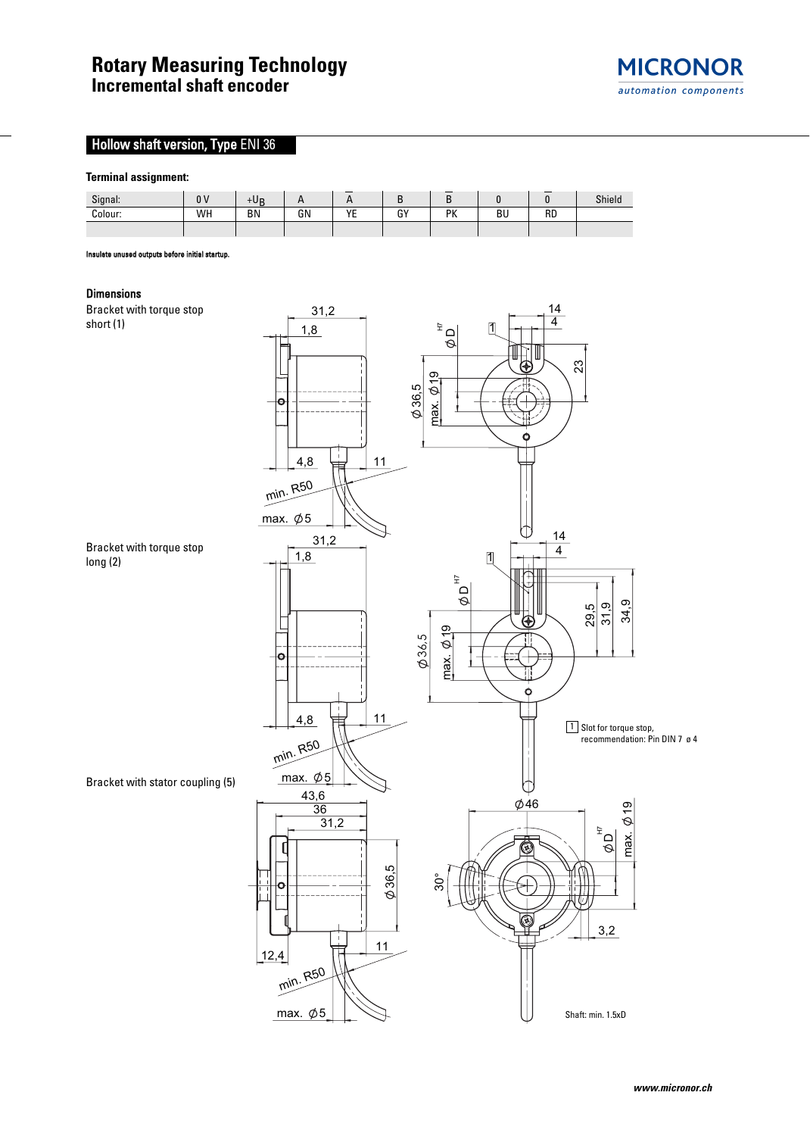

# **Hollow shaft version, Type ENI 36**

## **Terminal assignment:**



ate unused outputs before initial startu

### Dimensions

Bracket with torque stop short (1)



Bracket with torque stop long (2)

Bracket with stator coupling (5)